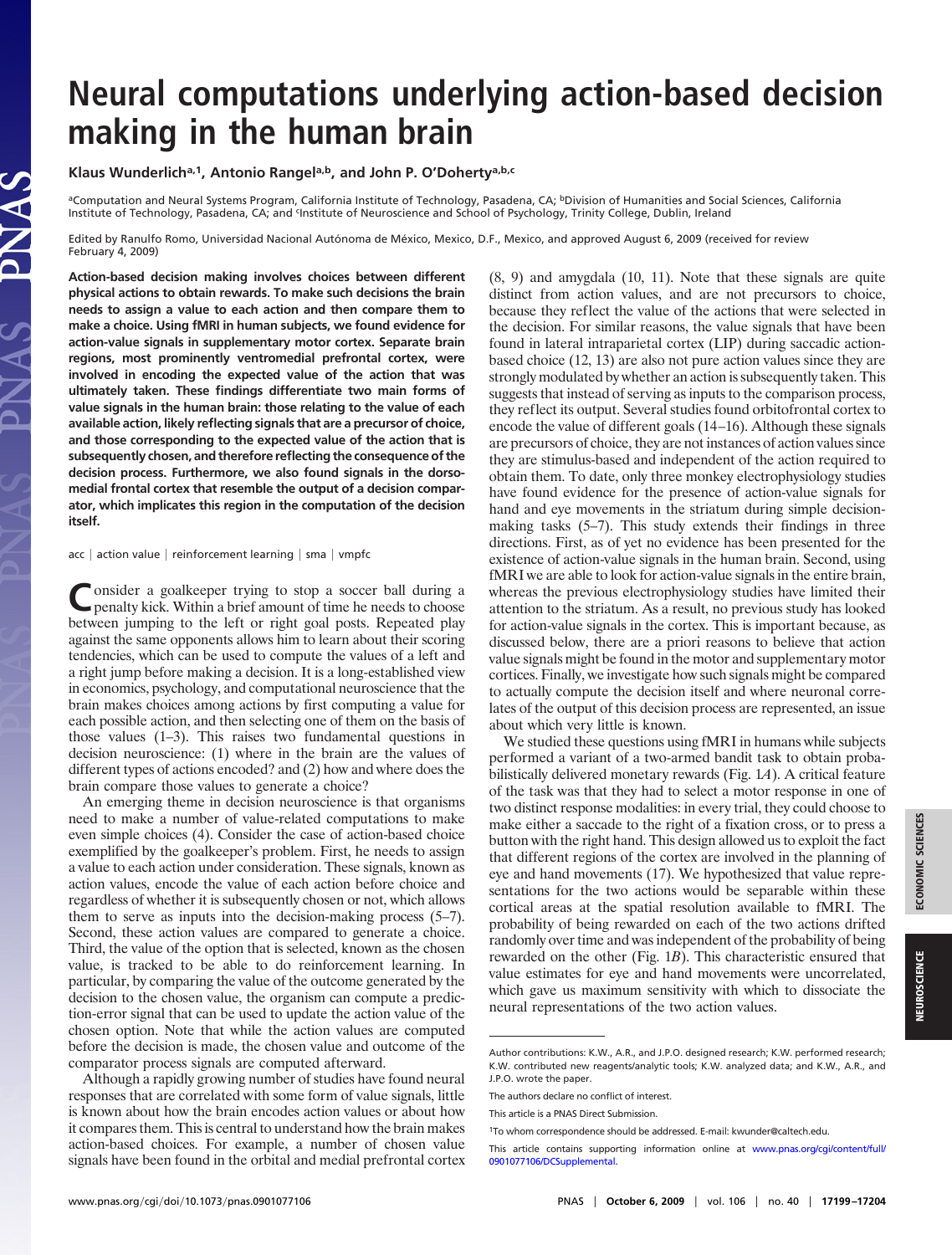# **Neural computations underlying action-based decision making in the human brain**

## **Klaus Wunderlicha,1, Antonio Rangela,b, and John P. O'Dohertya,b,c**

aComputation and Neural Systems Program, California Institute of Technology, Pasadena, CA; <sup>b</sup>Division of Humanities and Social Sciences, California Institute of Technology, Pasadena, CA; and <sup>c</sup>Institute of Neuroscience and School of Psychology, Trinity College, Dublin, Ireland

Edited by Ranulfo Romo, Universidad Nacional Autónoma de México, Mexico, D.F., Mexico, and approved August 6, 2009 (received for review February 4, 2009)

**Action-based decision making involves choices between different physical actions to obtain rewards. To make such decisions the brain needs to assign a value to each action and then compare them to make a choice. Using fMRI in human subjects, we found evidence for action-value signals in supplementary motor cortex. Separate brain regions, most prominently ventromedial prefrontal cortex, were involved in encoding the expected value of the action that was ultimately taken. These findings differentiate two main forms of value signals in the human brain: those relating to the value of each available action, likely reflecting signals that are a precursor of choice, and those corresponding to the expected value of the action that is subsequently chosen, and therefore reflecting the consequence of the decision process. Furthermore, we also found signals in the dorsomedial frontal cortex that resemble the output of a decision comparator, which implicates this region in the computation of the decision itself.**

acc | action value | reinforcement learning | sma | vmpfc

Consider a goalkeeper trying to stop a soccer ball during a penalty kick. Within a brief amount of time he needs to choose between jumping to the left or right goal posts. Repeated play against the same opponents allows him to learn about their scoring tendencies, which can be used to compute the values of a left and a right jump before making a decision. It is a long-established view in economics, psychology, and computational neuroscience that the brain makes choices among actions by first computing a value for each possible action, and then selecting one of them on the basis of those values (1–3). This raises two fundamental questions in decision neuroscience: (1) where in the brain are the values of different types of actions encoded? and (2) how and where does the brain compare those values to generate a choice?

An emerging theme in decision neuroscience is that organisms need to make a number of value-related computations to make even simple choices (4). Consider the case of action-based choice exemplified by the goalkeeper's problem. First, he needs to assign a value to each action under consideration. These signals, known as action values, encode the value of each action before choice and regardless of whether it is subsequently chosen or not, which allows them to serve as inputs into the decision-making process (5–7). Second, these action values are compared to generate a choice. Third, the value of the option that is selected, known as the chosen value, is tracked to be able to do reinforcement learning. In particular, by comparing the value of the outcome generated by the decision to the chosen value, the organism can compute a prediction-error signal that can be used to update the action value of the chosen option. Note that while the action values are computed before the decision is made, the chosen value and outcome of the comparator process signals are computed afterward.

Although a rapidly growing number of studies have found neural responses that are correlated with some form of value signals, little is known about how the brain encodes action values or about how it compares them. This is central to understand how the brain makes action-based choices. For example, a number of chosen value signals have been found in the orbital and medial prefrontal cortex (8, 9) and amygdala (10, 11). Note that these signals are quite distinct from action values, and are not precursors to choice, because they reflect the value of the actions that were selected in the decision. For similar reasons, the value signals that have been found in lateral intraparietal cortex (LIP) during saccadic actionbased choice (12, 13) are also not pure action values since they are strongly modulated by whether an action is subsequently taken. This suggests that instead of serving as inputs to the comparison process, they reflect its output. Several studies found orbitofrontal cortex to encode the value of different goals (14–16). Although these signals are precursors of choice, they are not instances of action values since they are stimulus-based and independent of the action required to obtain them. To date, only three monkey electrophysiology studies have found evidence for the presence of action-value signals for hand and eye movements in the striatum during simple decisionmaking tasks  $(5-7)$ . This study extends their findings in three directions. First, as of yet no evidence has been presented for the existence of action-value signals in the human brain. Second, using fMRI we are able to look for action-value signals in the entire brain, whereas the previous electrophysiology studies have limited their attention to the striatum. As a result, no previous study has looked for action-value signals in the cortex. This is important because, as discussed below, there are a priori reasons to believe that action value signals might be found in the motor and supplementary motor cortices. Finally, we investigate how such signals might be compared to actually compute the decision itself and where neuronal correlates of the output of this decision process are represented, an issue about which very little is known.

We studied these questions using fMRI in humans while subjects performed a variant of a two-armed bandit task to obtain probabilistically delivered monetary rewards (Fig. 1*A*). A critical feature of the task was that they had to select a motor response in one of two distinct response modalities: in every trial, they could choose to make either a saccade to the right of a fixation cross, or to press a button with the right hand. This design allowed us to exploit the fact that different regions of the cortex are involved in the planning of eye and hand movements (17). We hypothesized that value representations for the two actions would be separable within these cortical areas at the spatial resolution available to fMRI. The probability of being rewarded on each of the two actions drifted randomly over time and was independent of the probability of being rewarded on the other (Fig. 1*B*). This characteristic ensured that value estimates for eye and hand movements were uncorrelated, which gave us maximum sensitivity with which to dissociate the neural representations of the two action values.

NEUROSCIENCE

NEUROSCIENCE

Author contributions: K.W., A.R., and J.P.O. designed research; K.W. performed research; K.W. contributed new reagents/analytic tools; K.W. analyzed data; and K.W., A.R., and J.P.O. wrote the paper.

The authors declare no conflict of interest.

This article is a PNAS Direct Submission.

<sup>1</sup>To whom correspondence should be addressed. E-mail: kwunder@caltech.edu.

This article contains supporting information online at [www.pnas.org/cgi/content/full/](http://www.pnas.org/cgi/content/full/0901077106/DCSupplemental) [0901077106/DCSupplemental.](http://www.pnas.org/cgi/content/full/0901077106/DCSupplemental)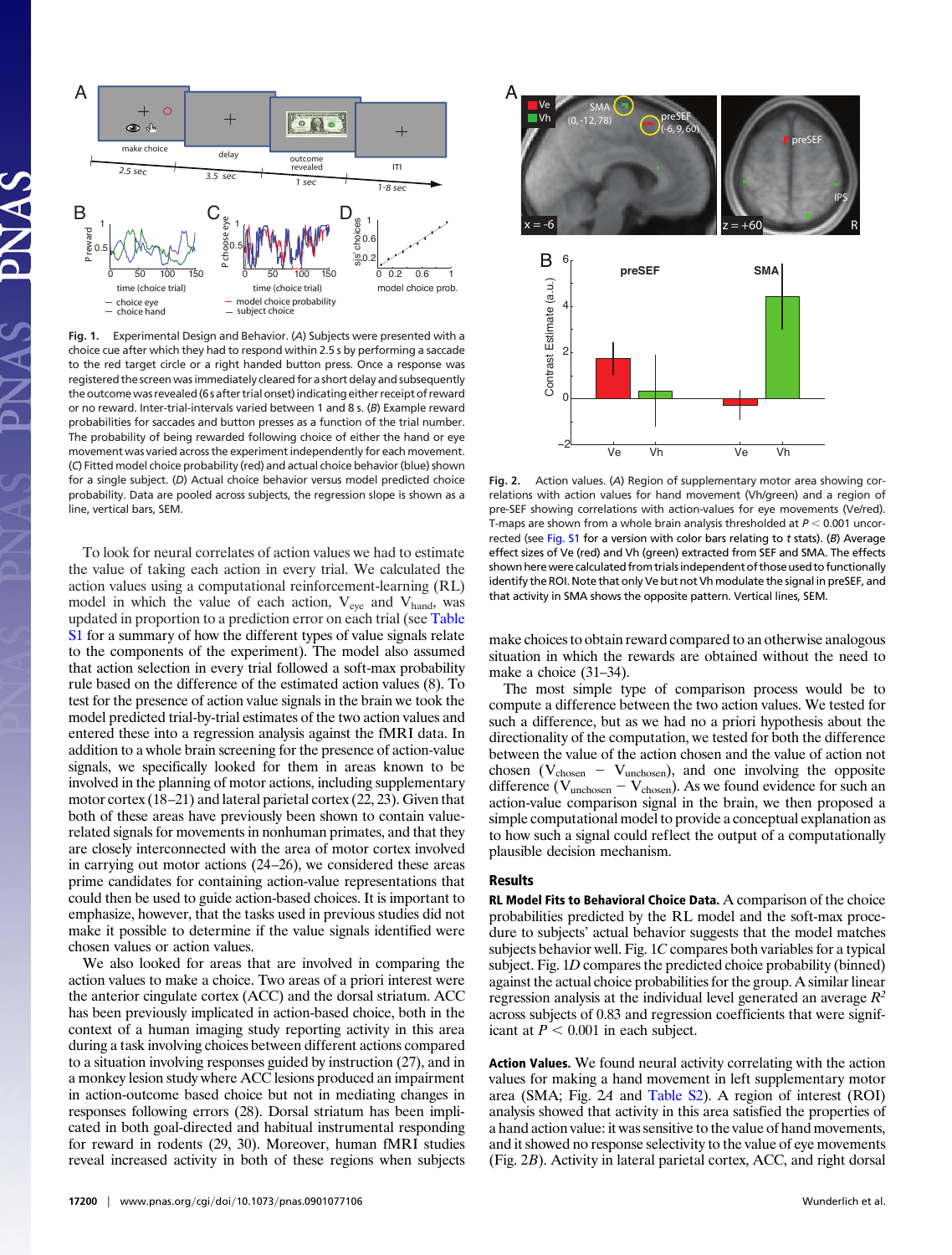

**Fig. 1.** Experimental Design and Behavior. (*A*) Subjects were presented with a choice cue after which they had to respond within 2.5 s by performing a saccade to the red target circle or a right handed button press. Once a response was registered the screen was immediately cleared for a short delay and subsequently the outcome was revealed (6 s after trial onset) indicating either receipt of reward or no reward. Inter-trial-intervals varied between 1 and 8 s. (*B*) Example reward probabilities for saccades and button presses as a function of the trial number. The probability of being rewarded following choice of either the hand or eye movement was varied across the experiment independently for each movement. (*C*) Fitted model choice probability (red) and actual choice behavior (blue) shown for a single subject. (*D*) Actual choice behavior versus model predicted choice probability. Data are pooled across subjects, the regression slope is shown as a line, vertical bars, SEM.

To look for neural correlates of action values we had to estimate the value of taking each action in every trial. We calculated the action values using a computational reinforcement-learning (RL) model in which the value of each action,  $V_{eye}$  and  $V_{hand}$ , was updated in proportion to a prediction error on each trial (see [Table](http://www.pnas.org/cgi/data/0901077106/DCSupplemental/Supplemental_PDF#nameddest=ST1) [S1](http://www.pnas.org/cgi/data/0901077106/DCSupplemental/Supplemental_PDF#nameddest=ST1) for a summary of how the different types of value signals relate to the components of the experiment). The model also assumed that action selection in every trial followed a soft-max probability rule based on the difference of the estimated action values (8). To test for the presence of action value signals in the brain we took the model predicted trial-by-trial estimates of the two action values and entered these into a regression analysis against the fMRI data. In addition to a whole brain screening for the presence of action-value signals, we specifically looked for them in areas known to be involved in the planning of motor actions, including supplementary motor cortex (18–21) and lateral parietal cortex (22, 23). Given that both of these areas have previously been shown to contain valuerelated signals for movements in nonhuman primates, and that they are closely interconnected with the area of motor cortex involved in carrying out motor actions (24–26), we considered these areas prime candidates for containing action-value representations that could then be used to guide action-based choices. It is important to emphasize, however, that the tasks used in previous studies did not make it possible to determine if the value signals identified were chosen values or action values.

We also looked for areas that are involved in comparing the action values to make a choice. Two areas of a priori interest were the anterior cingulate cortex (ACC) and the dorsal striatum. ACC has been previously implicated in action-based choice, both in the context of a human imaging study reporting activity in this area during a task involving choices between different actions compared to a situation involving responses guided by instruction (27), and in a monkey lesion study where ACC lesions produced an impairment in action-outcome based choice but not in mediating changes in responses following errors (28). Dorsal striatum has been implicated in both goal-directed and habitual instrumental responding for reward in rodents (29, 30). Moreover, human fMRI studies reveal increased activity in both of these regions when subjects



**Fig. 2.** Action values. (*A*) Region of supplementary motor area showing correlations with action values for hand movement (Vh/green) and a region of pre-SEF showing correlations with action-values for eye movements (Ve/red). T-maps are shown from a whole brain analysis thresholded at  $P < 0.001$  uncorrected (see [Fig. S1](http://www.pnas.org/cgi/data/0901077106/DCSupplemental/Supplemental_PDF#nameddest=SF1) for a version with color bars relating to *t* stats). (*B*) Average effect sizes of Ve (red) and Vh (green) extracted from SEF and SMA. The effects shown here were calculated from trials independent of those used to functionally identify the ROI. Note that only Ve but not Vh modulate the signal in preSEF, and that activity in SMA shows the opposite pattern. Vertical lines, SEM.

make choices to obtain reward compared to an otherwise analogous situation in which the rewards are obtained without the need to make a choice (31–34).

The most simple type of comparison process would be to compute a difference between the two action values. We tested for such a difference, but as we had no a priori hypothesis about the directionality of the computation, we tested for both the difference between the value of the action chosen and the value of action not chosen  $(V_{chosen} - V_{unchosen})$ , and one involving the opposite difference ( $V_{unchosen} - V_{chosen}$ ). As we found evidence for such an action-value comparison signal in the brain, we then proposed a simple computational model to provide a conceptual explanation as to how such a signal could reflect the output of a computationally plausible decision mechanism.

#### **Results**

RL Model Fits to Behavioral Choice Data. A comparison of the choice probabilities predicted by the RL model and the soft-max procedure to subjects' actual behavior suggests that the model matches subjects behavior well. Fig. 1*C* compares both variables for a typical subject. Fig. 1*D* compares the predicted choice probability (binned) against the actual choice probabilities for the group. A similar linear regression analysis at the individual level generated an average *R2* across subjects of 0.83 and regression coefficients that were significant at  $P < 0.001$  in each subject.

Action Values. We found neural activity correlating with the action values for making a hand movement in left supplementary motor area (SMA; Fig. 2*A* and [Table S2\)](http://www.pnas.org/cgi/data/0901077106/DCSupplemental/Supplemental_PDF#nameddest=ST2). A region of interest (ROI) analysis showed that activity in this area satisfied the properties of a hand action value: it was sensitive to the value of hand movements, and it showed no response selectivity to the value of eye movements (Fig. 2*B*). Activity in lateral parietal cortex, ACC, and right dorsal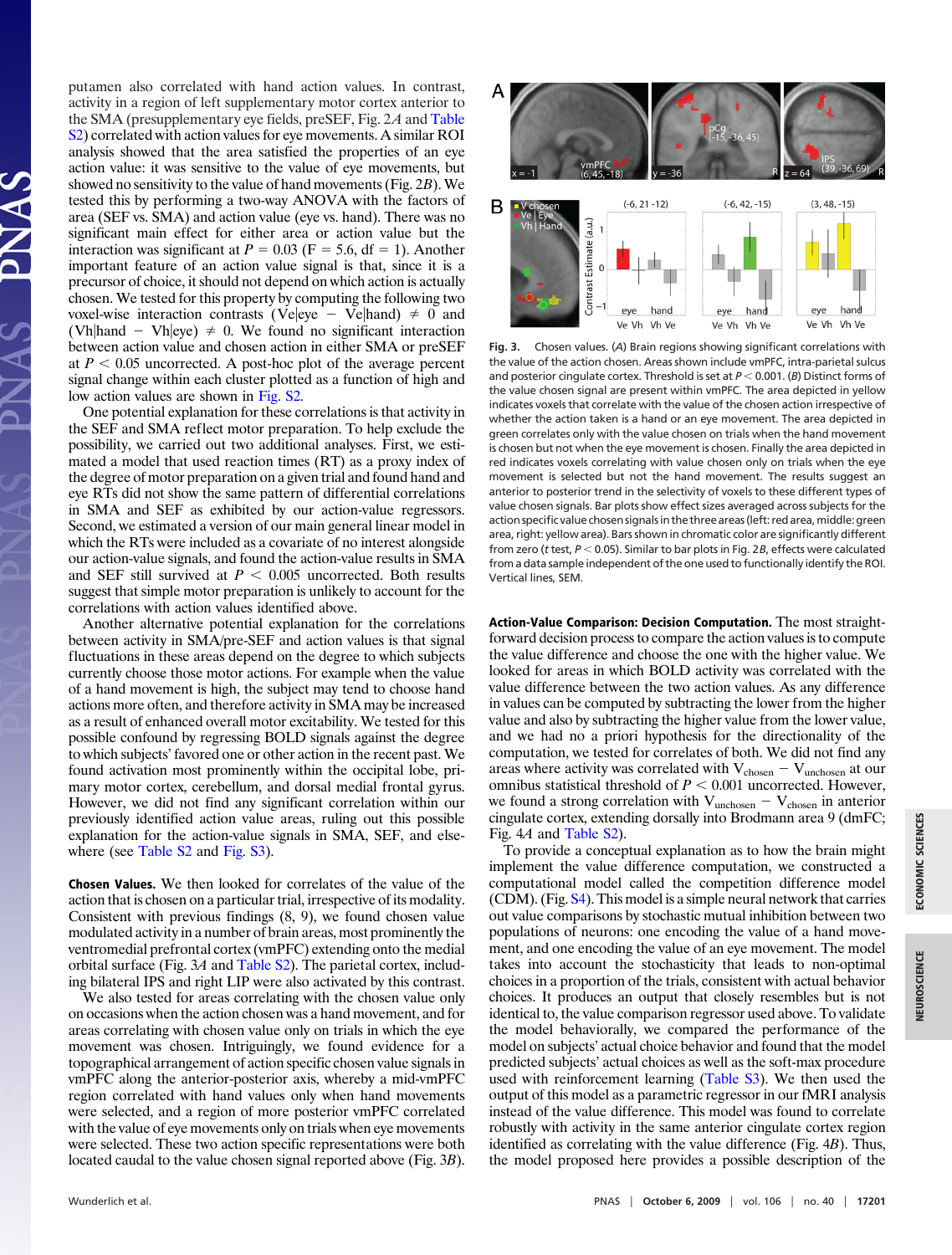putamen also correlated with hand action values. In contrast, activity in a region of left supplementary motor cortex anterior to the SMA (presupplementary eye fields, preSEF, Fig. 2*A* and [Table](http://www.pnas.org/cgi/data/0901077106/DCSupplemental/Supplemental_PDF#nameddest=ST2) [S2\)](http://www.pnas.org/cgi/data/0901077106/DCSupplemental/Supplemental_PDF#nameddest=ST2) correlated with action values for eye movements. A similar ROI analysis showed that the area satisfied the properties of an eye action value: it was sensitive to the value of eye movements, but showed no sensitivity to the value of hand movements (Fig. 2*B*). We tested this by performing a two-way ANOVA with the factors of area (SEF vs. SMA) and action value (eye vs. hand). There was no significant main effect for either area or action value but the interaction was significant at  $P = 0.03$  (F = 5.6, df = 1). Another important feature of an action value signal is that, since it is a precursor of choice, it should not depend on which action is actually chosen. We tested for this property by computing the following two voxel-wise interaction contrasts (Ve|eye - Ve|hand)  $\neq$  0 and (Vh|hand - Vh|eye)  $\neq$  0. We found no significant interaction between action value and chosen action in either SMA or preSEF at  $P < 0.05$  uncorrected. A post-hoc plot of the average percent signal change within each cluster plotted as a function of high and low action values are shown in [Fig. S2.](http://www.pnas.org/cgi/data/0901077106/DCSupplemental/Supplemental_PDF#nameddest=SF2)

One potential explanation for these correlations is that activity in the SEF and SMA reflect motor preparation. To help exclude the possibility, we carried out two additional analyses. First, we estimated a model that used reaction times (RT) as a proxy index of the degree of motor preparation on a given trial and found hand and eye RTs did not show the same pattern of differential correlations in SMA and SEF as exhibited by our action-value regressors. Second, we estimated a version of our main general linear model in which the RTs were included as a covariate of no interest alongside our action-value signals, and found the action-value results in SMA and SEF still survived at  $P < 0.005$  uncorrected. Both results suggest that simple motor preparation is unlikely to account for the correlations with action values identified above.

Another alternative potential explanation for the correlations between activity in SMA/pre-SEF and action values is that signal fluctuations in these areas depend on the degree to which subjects currently choose those motor actions. For example when the value of a hand movement is high, the subject may tend to choose hand actions more often, and therefore activity in SMA may be increased as a result of enhanced overall motor excitability. We tested for this possible confound by regressing BOLD signals against the degree to which subjects' favored one or other action in the recent past. We found activation most prominently within the occipital lobe, primary motor cortex, cerebellum, and dorsal medial frontal gyrus. However, we did not find any significant correlation within our previously identified action value areas, ruling out this possible explanation for the action-value signals in SMA, SEF, and elsewhere (see Table S<sub>2</sub> and Fig. S<sub>3</sub>).

Chosen Values. We then looked for correlates of the value of the action that is chosen on a particular trial, irrespective of its modality. Consistent with previous findings (8, 9), we found chosen value modulated activity in a number of brain areas, most prominently the ventromedial prefrontal cortex (vmPFC) extending onto the medial orbital surface (Fig. 3*A* and [Table S2\)](http://www.pnas.org/cgi/data/0901077106/DCSupplemental/Supplemental_PDF#nameddest=ST2). The parietal cortex, including bilateral IPS and right LIP were also activated by this contrast.

We also tested for areas correlating with the chosen value only on occasions when the action chosen was a hand movement, and for areas correlating with chosen value only on trials in which the eye movement was chosen. Intriguingly, we found evidence for a topographical arrangement of action specific chosen value signals in vmPFC along the anterior-posterior axis, whereby a mid-vmPFC region correlated with hand values only when hand movements were selected, and a region of more posterior vmPFC correlated with the value of eye movements only on trials when eye movements were selected. These two action specific representations were both located caudal to the value chosen signal reported above (Fig. 3*B*).



**Fig. 3.** Chosen values. (*A*) Brain regions showing significant correlations with the value of the action chosen. Areas shown include vmPFC, intra-parietal sulcus and posterior cingulate cortex. Threshold is set at  $P < 0.001$ . (*B*) Distinct forms of the value chosen signal are present within vmPFC. The area depicted in yellow indicates voxels that correlate with the value of the chosen action irrespective of whether the action taken is a hand or an eye movement. The area depicted in green correlates only with the value chosen on trials when the hand movement is chosen but not when the eye movement is chosen. Finally the area depicted in red indicates voxels correlating with value chosen only on trials when the eye movement is selected but not the hand movement. The results suggest an anterior to posterior trend in the selectivity of voxels to these different types of value chosen signals. Bar plots show effect sizes averaged across subjects for the action specific value chosen signals in the three areas (left: red area, middle: green area, right: yellow area). Bars shown in chromatic color are significantly different from zero (*t* test,  $P < 0.05$ ). Similar to bar plots in Fig. 2*B*, effects were calculated from a data sample independent of the one used to functionally identify the ROI. Vertical lines, SEM.

Action-Value Comparison: Decision Computation. The most straightforward decision process to compare the action values is to compute the value difference and choose the one with the higher value. We looked for areas in which BOLD activity was correlated with the value difference between the two action values. As any difference in values can be computed by subtracting the lower from the higher value and also by subtracting the higher value from the lower value, and we had no a priori hypothesis for the directionality of the computation, we tested for correlates of both. We did not find any areas where activity was correlated with  $V_{chosen} - V_{unchosen}$  at our omnibus statistical threshold of  $P < 0.001$  uncorrected. However, we found a strong correlation with  $V_{unchosen} - V_{chosen}$  in anterior cingulate cortex, extending dorsally into Brodmann area 9 (dmFC; Fig. 4*A* and [Table S2\)](http://www.pnas.org/cgi/data/0901077106/DCSupplemental/Supplemental_PDF#nameddest=ST2).

To provide a conceptual explanation as to how the brain might implement the value difference computation, we constructed a computational model called the competition difference model (CDM). (Fig. [S4\)](http://www.pnas.org/cgi/data/0901077106/DCSupplemental/Supplemental_PDF#nameddest=SF4). This model is a simple neural network that carries out value comparisons by stochastic mutual inhibition between two populations of neurons: one encoding the value of a hand movement, and one encoding the value of an eye movement. The model takes into account the stochasticity that leads to non-optimal choices in a proportion of the trials, consistent with actual behavior choices. It produces an output that closely resembles but is not identical to, the value comparison regressor used above. To validate the model behaviorally, we compared the performance of the model on subjects' actual choice behavior and found that the model predicted subjects' actual choices as well as the soft-max procedure used with reinforcement learning [\(Table S3\)](http://www.pnas.org/cgi/data/0901077106/DCSupplemental/Supplemental_PDF#nameddest=ST3). We then used the output of this model as a parametric regressor in our fMRI analysis instead of the value difference. This model was found to correlate robustly with activity in the same anterior cingulate cortex region identified as correlating with the value difference (Fig. 4*B*). Thus, the model proposed here provides a possible description of the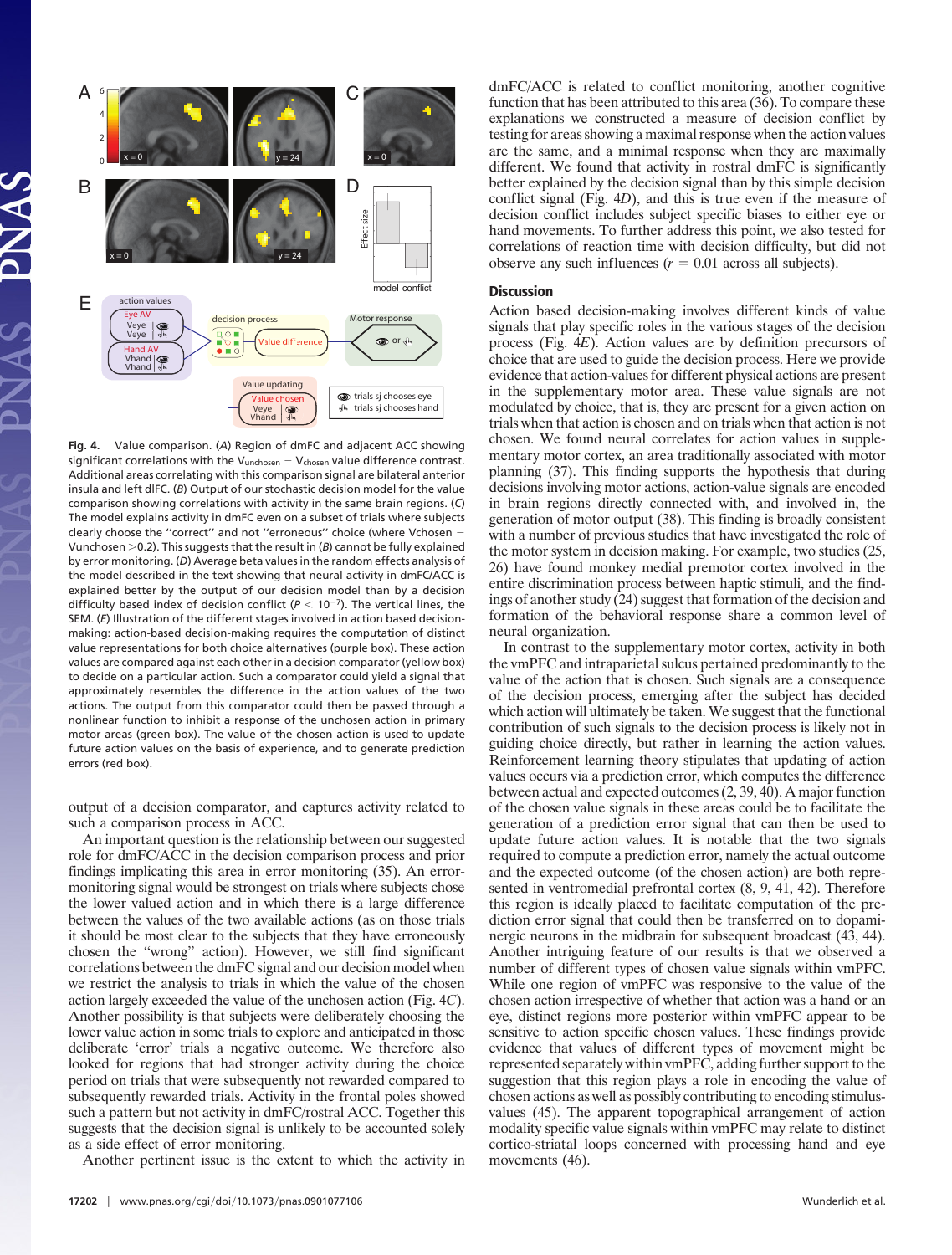

**Fig. 4.** Value comparison. (*A*) Region of dmFC and adjacent ACC showing significant correlations with the  $V_{unchosen} - V_{chosen}$  value difference contrast. Additional areas correlating with this comparison signal are bilateral anterior insula and left dlFC. (*B*) Output of our stochastic decision model for the value comparison showing correlations with activity in the same brain regions. (*C*) The model explains activity in dmFC even on a subset of trials where subjects clearly choose the "correct" and not "erroneous" choice (where Vchosen -Vunchosen %0.2). This suggests that the result in (*B*) cannot be fully explained by error monitoring. (*D*) Average beta values in the random effects analysis of the model described in the text showing that neural activity in dmFC/ACC is explained better by the output of our decision model than by a decision difficulty based index of decision conflict ( $P < 10^{-7}$ ). The vertical lines, the SEM. (*E*) Illustration of the different stages involved in action based decisionmaking: action-based decision-making requires the computation of distinct value representations for both choice alternatives (purple box). These action values are compared against each other in a decision comparator (yellow box) to decide on a particular action. Such a comparator could yield a signal that approximately resembles the difference in the action values of the two actions. The output from this comparator could then be passed through a nonlinear function to inhibit a response of the unchosen action in primary motor areas (green box). The value of the chosen action is used to update future action values on the basis of experience, and to generate prediction errors (red box).

output of a decision comparator, and captures activity related to such a comparison process in ACC.

An important question is the relationship between our suggested role for dmFC/ACC in the decision comparison process and prior findings implicating this area in error monitoring (35). An errormonitoring signal would be strongest on trials where subjects chose the lower valued action and in which there is a large difference between the values of the two available actions (as on those trials it should be most clear to the subjects that they have erroneously chosen the ''wrong'' action). However, we still find significant correlations between the dmFC signal and our decision model when we restrict the analysis to trials in which the value of the chosen action largely exceeded the value of the unchosen action (Fig. 4*C*). Another possibility is that subjects were deliberately choosing the lower value action in some trials to explore and anticipated in those deliberate 'error' trials a negative outcome. We therefore also looked for regions that had stronger activity during the choice period on trials that were subsequently not rewarded compared to subsequently rewarded trials. Activity in the frontal poles showed such a pattern but not activity in dmFC/rostral ACC. Together this suggests that the decision signal is unlikely to be accounted solely as a side effect of error monitoring.

Another pertinent issue is the extent to which the activity in

dmFC/ACC is related to conflict monitoring, another cognitive function that has been attributed to this area (36). To compare these explanations we constructed a measure of decision conflict by testing for areas showing a maximal response when the action values are the same, and a minimal response when they are maximally different. We found that activity in rostral dmFC is significantly better explained by the decision signal than by this simple decision conflict signal (Fig. 4*D*), and this is true even if the measure of decision conflict includes subject specific biases to either eye or hand movements. To further address this point, we also tested for correlations of reaction time with decision difficulty, but did not observe any such influences  $(r = 0.01$  across all subjects).

#### **Discussion**

Action based decision-making involves different kinds of value signals that play specific roles in the various stages of the decision process (Fig. 4*E*). Action values are by definition precursors of choice that are used to guide the decision process. Here we provide evidence that action-values for different physical actions are present in the supplementary motor area. These value signals are not modulated by choice, that is, they are present for a given action on trials when that action is chosen and on trials when that action is not chosen. We found neural correlates for action values in supplementary motor cortex, an area traditionally associated with motor planning (37). This finding supports the hypothesis that during decisions involving motor actions, action-value signals are encoded in brain regions directly connected with, and involved in, the generation of motor output (38). This finding is broadly consistent with a number of previous studies that have investigated the role of the motor system in decision making. For example, two studies (25, 26) have found monkey medial premotor cortex involved in the entire discrimination process between haptic stimuli, and the findings of another study (24) suggest that formation of the decision and formation of the behavioral response share a common level of neural organization.

In contrast to the supplementary motor cortex, activity in both the vmPFC and intraparietal sulcus pertained predominantly to the value of the action that is chosen. Such signals are a consequence of the decision process, emerging after the subject has decided which action will ultimately be taken. We suggest that the functional contribution of such signals to the decision process is likely not in guiding choice directly, but rather in learning the action values. Reinforcement learning theory stipulates that updating of action values occurs via a prediction error, which computes the difference between actual and expected outcomes (2, 39, 40). A major function of the chosen value signals in these areas could be to facilitate the generation of a prediction error signal that can then be used to update future action values. It is notable that the two signals required to compute a prediction error, namely the actual outcome and the expected outcome (of the chosen action) are both represented in ventromedial prefrontal cortex (8, 9, 41, 42). Therefore this region is ideally placed to facilitate computation of the prediction error signal that could then be transferred on to dopaminergic neurons in the midbrain for subsequent broadcast (43, 44). Another intriguing feature of our results is that we observed a number of different types of chosen value signals within vmPFC. While one region of vmPFC was responsive to the value of the chosen action irrespective of whether that action was a hand or an eye, distinct regions more posterior within vmPFC appear to be sensitive to action specific chosen values. These findings provide evidence that values of different types of movement might be represented separately within vmPFC, adding further support to the suggestion that this region plays a role in encoding the value of chosen actions as well as possibly contributing to encoding stimulusvalues (45). The apparent topographical arrangement of action modality specific value signals within vmPFC may relate to distinct cortico-striatal loops concerned with processing hand and eye movements (46).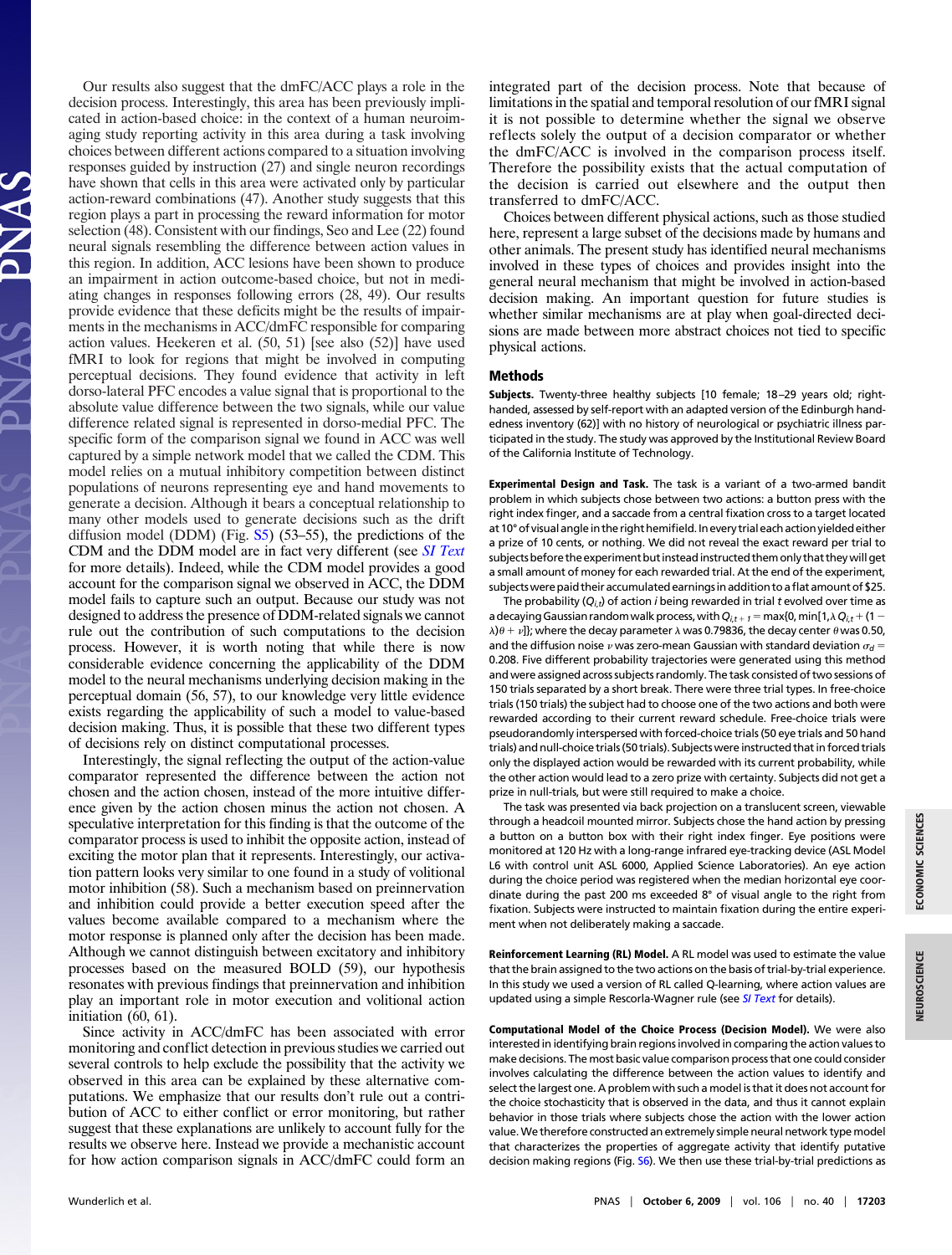Our results also suggest that the dmFC/ACC plays a role in the decision process. Interestingly, this area has been previously implicated in action-based choice: in the context of a human neuroimaging study reporting activity in this area during a task involving choices between different actions compared to a situation involving responses guided by instruction (27) and single neuron recordings have shown that cells in this area were activated only by particular action-reward combinations (47). Another study suggests that this region plays a part in processing the reward information for motor selection (48). Consistent with our findings, Seo and Lee (22) found neural signals resembling the difference between action values in this region. In addition, ACC lesions have been shown to produce an impairment in action outcome-based choice, but not in mediating changes in responses following errors (28, 49). Our results provide evidence that these deficits might be the results of impairments in the mechanisms in ACC/dmFC responsible for comparing action values. Heekeren et al. (50, 51) [see also (52)] have used fMRI to look for regions that might be involved in computing perceptual decisions. They found evidence that activity in left dorso-lateral PFC encodes a value signal that is proportional to the absolute value difference between the two signals, while our value difference related signal is represented in dorso-medial PFC. The specific form of the comparison signal we found in ACC was well captured by a simple network model that we called the CDM. This model relies on a mutual inhibitory competition between distinct populations of neurons representing eye and hand movements to generate a decision. Although it bears a conceptual relationship to many other models used to generate decisions such as the drift diffusion model (DDM) (Fig.  $S5$ ) (53–55), the predictions of the CDM and the DDM model are in fact very different (see *[SI Text](http://www.pnas.org/cgi/data/0901077106/DCSupplemental/Supplemental_PDF#nameddest=STXT)* for more details). Indeed, while the CDM model provides a good account for the comparison signal we observed in ACC, the DDM model fails to capture such an output. Because our study was not designed to address the presence of DDM-related signals we cannot rule out the contribution of such computations to the decision process. However, it is worth noting that while there is now considerable evidence concerning the applicability of the DDM model to the neural mechanisms underlying decision making in the perceptual domain (56, 57), to our knowledge very little evidence exists regarding the applicability of such a model to value-based decision making. Thus, it is possible that these two different types of decisions rely on distinct computational processes.

Interestingly, the signal reflecting the output of the action-value comparator represented the difference between the action not chosen and the action chosen, instead of the more intuitive difference given by the action chosen minus the action not chosen. A speculative interpretation for this finding is that the outcome of the comparator process is used to inhibit the opposite action, instead of exciting the motor plan that it represents. Interestingly, our activation pattern looks very similar to one found in a study of volitional motor inhibition (58). Such a mechanism based on preinnervation and inhibition could provide a better execution speed after the values become available compared to a mechanism where the motor response is planned only after the decision has been made. Although we cannot distinguish between excitatory and inhibitory processes based on the measured BOLD (59), our hypothesis resonates with previous findings that preinnervation and inhibition play an important role in motor execution and volitional action initiation (60, 61).

Since activity in ACC/dmFC has been associated with error monitoring and conflict detection in previous studies we carried out several controls to help exclude the possibility that the activity we observed in this area can be explained by these alternative computations. We emphasize that our results don't rule out a contribution of ACC to either conflict or error monitoring, but rather suggest that these explanations are unlikely to account fully for the results we observe here. Instead we provide a mechanistic account for how action comparison signals in ACC/dmFC could form an integrated part of the decision process. Note that because of limitations in the spatial and temporal resolution of our fMRI signal it is not possible to determine whether the signal we observe reflects solely the output of a decision comparator or whether the dmFC/ACC is involved in the comparison process itself. Therefore the possibility exists that the actual computation of the decision is carried out elsewhere and the output then transferred to dmFC/ACC.

Choices between different physical actions, such as those studied here, represent a large subset of the decisions made by humans and other animals. The present study has identified neural mechanisms involved in these types of choices and provides insight into the general neural mechanism that might be involved in action-based decision making. An important question for future studies is whether similar mechanisms are at play when goal-directed decisions are made between more abstract choices not tied to specific physical actions.

### Methods

Subjects. Twenty-three healthy subjects [10 female; 18-29 years old; righthanded, assessed by self-report with an adapted version of the Edinburgh handedness inventory (62)] with no history of neurological or psychiatric illness participated in the study. The study was approved by the Institutional Review Board of the California Institute of Technology.

Experimental Design and Task. The task is a variant of a two-armed bandit problem in which subjects chose between two actions: a button press with the right index finger, and a saccade from a central fixation cross to a target located at 10° of visual angle in the right hemifield. In every trial each action yielded either a prize of 10 cents, or nothing. We did not reveal the exact reward per trial to subjects before the experiment but instead instructed them only that they will get a small amount of money for each rewarded trial. At the end of the experiment, subjects were paid their accumulated earnings in addition to a flat amount of \$25.

The probability (*Qi*,*t*) of action *i* being rewarded in trial *t* evolved over time as a decaying Gaussian random walk process, with  $Q_{i,t+1} = \max\{0, \min[1, \lambda Q_{i,t} + (1 \lambda$ ) $\theta$  +  $\nu$ ]}; where the decay parameter  $\lambda$  was 0.79836, the decay center  $\theta$  was 0.50, and the diffusion noise  $\nu$  was zero-mean Gaussian with standard deviation  $\sigma_d$ 0.208. Five different probability trajectories were generated using this method and were assigned across subjects randomly. The task consisted of two sessions of 150 trials separated by a short break. There were three trial types. In free-choice trials (150 trials) the subject had to choose one of the two actions and both were rewarded according to their current reward schedule. Free-choice trials were pseudorandomly interspersed with forced-choice trials (50 eye trials and 50 hand trials) and null-choice trials (50 trials). Subjects were instructed that in forced trials only the displayed action would be rewarded with its current probability, while the other action would lead to a zero prize with certainty. Subjects did not get a prize in null-trials, but were still required to make a choice.

The task was presented via back projection on a translucent screen, viewable through a headcoil mounted mirror. Subjects chose the hand action by pressing a button on a button box with their right index finger. Eye positions were monitored at 120 Hz with a long-range infrared eye-tracking device (ASL Model L6 with control unit ASL 6000, Applied Science Laboratories). An eye action during the choice period was registered when the median horizontal eye coordinate during the past 200 ms exceeded 8° of visual angle to the right from fixation. Subjects were instructed to maintain fixation during the entire experiment when not deliberately making a saccade.

Reinforcement Learning (RL) Model. A RL model was used to estimate the value that the brain assigned to the two actions on the basis of trial-by-trial experience. In this study we used a version of RL called Q-learning, where action values are updated using a simple Rescorla-Wagner rule (see *[SI Text](http://www.pnas.org/cgi/data/0901077106/DCSupplemental/Supplemental_PDF#nameddest=STXT)* for details).

Computational Model of the Choice Process (Decision Model). We were also interested in identifying brain regions involved in comparing the action values to make decisions. The most basic value comparison process that one could consider involves calculating the difference between the action values to identify and select the largest one. A problem with such a model is that it does not account for the choice stochasticity that is observed in the data, and thus it cannot explain behavior in those trials where subjects chose the action with the lower action value.We therefore constructed an extremely simple neural network type model that characterizes the properties of aggregate activity that identify putative decision making regions (Fig. [S6\)](http://www.pnas.org/cgi/data/0901077106/DCSupplemental/Supplemental_PDF#nameddest=SF6). We then use these trial-by-trial predictions as